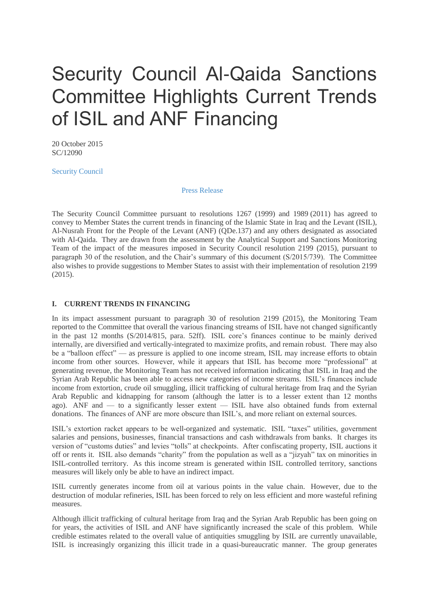# Security Council Al-Qaida Sanctions Committee Highlights Current Trends of ISIL and ANF Financing

20 October 2015 SC/12090

[Security Council](http://www.un.org/press/en/un-bodies/security-council)

[Press Release](http://www.un.org/press/en/type-document/press-release)

The Security Council Committee pursuant to resolutions 1267 (1999) and 1989 (2011) has agreed to convey to Member States the current trends in financing of the Islamic State in Iraq and the Levant (ISIL), Al-Nusrah Front for the People of the Levant (ANF) (QDe.137) and any others designated as associated with Al-Qaida. They are drawn from the assessment by the Analytical Support and Sanctions Monitoring Team of the impact of the measures imposed in Security Council resolution 2199 (2015), pursuant to paragraph 30 of the resolution, and the Chair's summary of this document (S/2015/739). The Committee also wishes to provide suggestions to Member States to assist with their implementation of resolution 2199 (2015).

## **I. CURRENT TRENDS IN FINANCING**

In its impact assessment pursuant to paragraph 30 of resolution 2199 (2015), the Monitoring Team reported to the Committee that overall the various financing streams of ISIL have not changed significantly in the past 12 months (S/2014/815, para. 52ff). ISIL core's finances continue to be mainly derived internally, are diversified and vertically-integrated to maximize profits, and remain robust. There may also be a "balloon effect" — as pressure is applied to one income stream, ISIL may increase efforts to obtain income from other sources. However, while it appears that ISIL has become more "professional" at generating revenue, the Monitoring Team has not received information indicating that ISIL in Iraq and the Syrian Arab Republic has been able to access new categories of income streams. ISIL's finances include income from extortion, crude oil smuggling, illicit trafficking of cultural heritage from Iraq and the Syrian Arab Republic and kidnapping for ransom (although the latter is to a lesser extent than 12 months ago). ANF and — to a significantly lesser extent — ISIL have also obtained funds from external donations. The finances of ANF are more obscure than ISIL's, and more reliant on external sources.

ISIL's extortion racket appears to be well-organized and systematic. ISIL "taxes" utilities, government salaries and pensions, businesses, financial transactions and cash withdrawals from banks. It charges its version of "customs duties" and levies "tolls" at checkpoints. After confiscating property, ISIL auctions it off or rents it. ISIL also demands "charity" from the population as well as a "jizyah" tax on minorities in ISIL-controlled territory. As this income stream is generated within ISIL controlled territory, sanctions measures will likely only be able to have an indirect impact.

ISIL currently generates income from oil at various points in the value chain. However, due to the destruction of modular refineries, ISIL has been forced to rely on less efficient and more wasteful refining measures.

Although illicit trafficking of cultural heritage from Iraq and the Syrian Arab Republic has been going on for years, the activities of ISIL and ANF have significantly increased the scale of this problem. While credible estimates related to the overall value of antiquities smuggling by ISIL are currently unavailable, ISIL is increasingly organizing this illicit trade in a quasi-bureaucratic manner. The group generates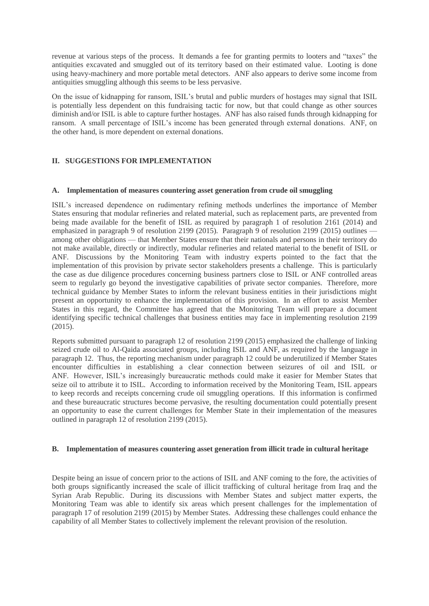revenue at various steps of the process. It demands a fee for granting permits to looters and "taxes" the antiquities excavated and smuggled out of its territory based on their estimated value. Looting is done using heavy-machinery and more portable metal detectors. ANF also appears to derive some income from antiquities smuggling although this seems to be less pervasive.

On the issue of kidnapping for ransom, ISIL's brutal and public murders of hostages may signal that ISIL is potentially less dependent on this fundraising tactic for now, but that could change as other sources diminish and/or ISIL is able to capture further hostages. ANF has also raised funds through kidnapping for ransom. A small percentage of ISIL's income has been generated through external donations. ANF, on the other hand, is more dependent on external donations.

# **II. SUGGESTIONS FOR IMPLEMENTATION**

## **A. Implementation of measures countering asset generation from crude oil smuggling**

ISIL's increased dependence on rudimentary refining methods underlines the importance of Member States ensuring that modular refineries and related material, such as replacement parts, are prevented from being made available for the benefit of ISIL as required by paragraph 1 of resolution 2161 (2014) and emphasized in paragraph 9 of resolution 2199 (2015). Paragraph 9 of resolution 2199 (2015) outlines among other obligations — that Member States ensure that their nationals and persons in their territory do not make available, directly or indirectly, modular refineries and related material to the benefit of ISIL or ANF. Discussions by the Monitoring Team with industry experts pointed to the fact that the implementation of this provision by private sector stakeholders presents a challenge. This is particularly the case as due diligence procedures concerning business partners close to ISIL or ANF controlled areas seem to regularly go beyond the investigative capabilities of private sector companies. Therefore, more technical guidance by Member States to inform the relevant business entities in their jurisdictions might present an opportunity to enhance the implementation of this provision. In an effort to assist Member States in this regard, the Committee has agreed that the Monitoring Team will prepare a document identifying specific technical challenges that business entities may face in implementing resolution 2199 (2015).

Reports submitted pursuant to paragraph 12 of resolution 2199 (2015) emphasized the challenge of linking seized crude oil to Al-Qaida associated groups, including ISIL and ANF, as required by the language in paragraph 12. Thus, the reporting mechanism under paragraph 12 could be underutilized if Member States encounter difficulties in establishing a clear connection between seizures of oil and ISIL or ANF. However, ISIL's increasingly bureaucratic methods could make it easier for Member States that seize oil to attribute it to ISIL. According to information received by the Monitoring Team, ISIL appears to keep records and receipts concerning crude oil smuggling operations. If this information is confirmed and these bureaucratic structures become pervasive, the resulting documentation could potentially present an opportunity to ease the current challenges for Member State in their implementation of the measures outlined in paragraph 12 of resolution 2199 (2015).

# **B. Implementation of measures countering asset generation from illicit trade in cultural heritage**

Despite being an issue of concern prior to the actions of ISIL and ANF coming to the fore, the activities of both groups significantly increased the scale of illicit trafficking of cultural heritage from Iraq and the Syrian Arab Republic. During its discussions with Member States and subject matter experts, the Monitoring Team was able to identify six areas which present challenges for the implementation of paragraph 17 of resolution 2199 (2015) by Member States. Addressing these challenges could enhance the capability of all Member States to collectively implement the relevant provision of the resolution.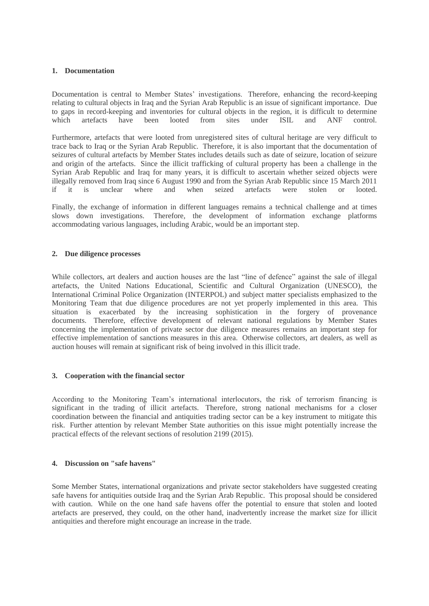## **1. Documentation**

Documentation is central to Member States' investigations. Therefore, enhancing the record-keeping relating to cultural objects in Iraq and the Syrian Arab Republic is an issue of significant importance. Due to gaps in record-keeping and inventories for cultural objects in the region, it is difficult to determine which artefacts have been looted from sites under ISIL and ANF control.

Furthermore, artefacts that were looted from unregistered sites of cultural heritage are very difficult to trace back to Iraq or the Syrian Arab Republic. Therefore, it is also important that the documentation of seizures of cultural artefacts by Member States includes details such as date of seizure, location of seizure and origin of the artefacts. Since the illicit trafficking of cultural property has been a challenge in the Syrian Arab Republic and Iraq for many years, it is difficult to ascertain whether seized objects were illegally removed from Iraq since 6 August 1990 and from the Syrian Arab Republic since 15 March 2011 if it is unclear where and when seized artefacts were stolen or looted.

Finally, the exchange of information in different languages remains a technical challenge and at times slows down investigations. Therefore, the development of information exchange platforms accommodating various languages, including Arabic, would be an important step.

## **2. Due diligence processes**

While collectors, art dealers and auction houses are the last "line of defence" against the sale of illegal artefacts, the United Nations Educational, Scientific and Cultural Organization (UNESCO), the International Criminal Police Organization (INTERPOL) and subject matter specialists emphasized to the Monitoring Team that due diligence procedures are not yet properly implemented in this area. This situation is exacerbated by the increasing sophistication in the forgery of provenance documents. Therefore, effective development of relevant national regulations by Member States concerning the implementation of private sector due diligence measures remains an important step for effective implementation of sanctions measures in this area. Otherwise collectors, art dealers, as well as auction houses will remain at significant risk of being involved in this illicit trade.

#### **3. Cooperation with the financial sector**

According to the Monitoring Team's international interlocutors, the risk of terrorism financing is significant in the trading of illicit artefacts. Therefore, strong national mechanisms for a closer coordination between the financial and antiquities trading sector can be a key instrument to mitigate this risk. Further attention by relevant Member State authorities on this issue might potentially increase the practical effects of the relevant sections of resolution 2199 (2015).

## **4. Discussion on "safe havens"**

Some Member States, international organizations and private sector stakeholders have suggested creating safe havens for antiquities outside Iraq and the Syrian Arab Republic. This proposal should be considered with caution. While on the one hand safe havens offer the potential to ensure that stolen and looted artefacts are preserved, they could, on the other hand, inadvertently increase the market size for illicit antiquities and therefore might encourage an increase in the trade.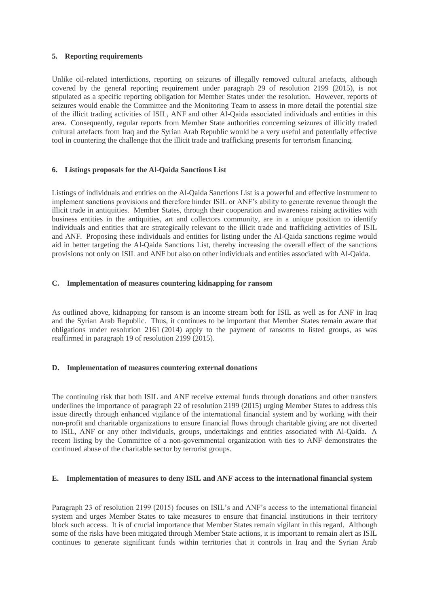## **5. Reporting requirements**

Unlike oil-related interdictions, reporting on seizures of illegally removed cultural artefacts, although covered by the general reporting requirement under paragraph 29 of resolution 2199 (2015), is not stipulated as a specific reporting obligation for Member States under the resolution. However, reports of seizures would enable the Committee and the Monitoring Team to assess in more detail the potential size of the illicit trading activities of ISIL, ANF and other Al-Qaida associated individuals and entities in this area. Consequently, regular reports from Member State authorities concerning seizures of illicitly traded cultural artefacts from Iraq and the Syrian Arab Republic would be a very useful and potentially effective tool in countering the challenge that the illicit trade and trafficking presents for terrorism financing.

# **6. Listings proposals for the Al-Qaida Sanctions List**

Listings of individuals and entities on the Al-Qaida Sanctions List is a powerful and effective instrument to implement sanctions provisions and therefore hinder ISIL or ANF's ability to generate revenue through the illicit trade in antiquities. Member States, through their cooperation and awareness raising activities with business entities in the antiquities, art and collectors community, are in a unique position to identify individuals and entities that are strategically relevant to the illicit trade and trafficking activities of ISIL and ANF. Proposing these individuals and entities for listing under the Al-Qaida sanctions regime would aid in better targeting the Al-Qaida Sanctions List, thereby increasing the overall effect of the sanctions provisions not only on ISIL and ANF but also on other individuals and entities associated with Al-Qaida.

## **C. Implementation of measures countering kidnapping for ransom**

As outlined above, kidnapping for ransom is an income stream both for ISIL as well as for ANF in Iraq and the Syrian Arab Republic. Thus, it continues to be important that Member States remain aware that obligations under resolution 2161 (2014) apply to the payment of ransoms to listed groups, as was reaffirmed in paragraph 19 of resolution 2199 (2015).

#### **D. Implementation of measures countering external donations**

The continuing risk that both ISIL and ANF receive external funds through donations and other transfers underlines the importance of paragraph 22 of resolution 2199 (2015) urging Member States to address this issue directly through enhanced vigilance of the international financial system and by working with their non-profit and charitable organizations to ensure financial flows through charitable giving are not diverted to ISIL, ANF or any other individuals, groups, undertakings and entities associated with Al-Qaida. A recent listing by the Committee of a non-governmental organization with ties to ANF demonstrates the continued abuse of the charitable sector by terrorist groups.

#### **E. Implementation of measures to deny ISIL and ANF access to the international financial system**

Paragraph 23 of resolution 2199 (2015) focuses on ISIL's and ANF's access to the international financial system and urges Member States to take measures to ensure that financial institutions in their territory block such access. It is of crucial importance that Member States remain vigilant in this regard. Although some of the risks have been mitigated through Member State actions, it is important to remain alert as ISIL continues to generate significant funds within territories that it controls in Iraq and the Syrian Arab